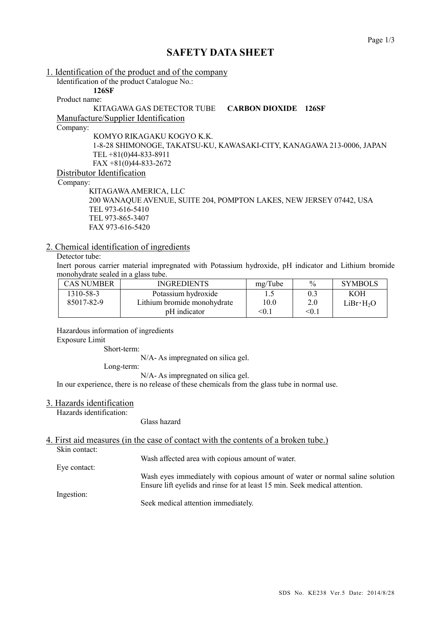# **SAFETY DATA SHEET**

1. Identification of the product and of the company Identification of the product Catalogue No.: **126SF**

Product name:

KITAGAWA GAS DETECTOR TUBE **CARBON DIOXIDE 126SF**

Manufacture/Supplier Identification

Company:

KOMYO RIKAGAKU KOGYO K.K.

1-8-28 SHIMONOGE, TAKATSU-KU, KAWASAKI-CITY, KANAGAWA 213-0006, JAPAN TEL +81(0)44-833-8911 FAX +81(0)44-833-2672

Distributor Identification

Company:

KITAGAWAAMERICA, LLC 200 WANAQUE AVENUE, SUITE 204, POMPTON LAKES, NEW JERSEY 07442, USA TEL 973-616-5410 TEL 973-865-3407 FAX 973-616-5420

## 2. Chemical identification of ingredients

## Detector tube:

Inert porous carrier material impregnated with Potassium hydroxide, pH indicator and Lithium bromide monohydrate sealed in a glass tube.

| <b>CAS NUMBER</b> | <b>INGREDIENTS</b>          | mg/Tube | $\frac{0}{0}$ | <b>SYMBOLS</b>        |
|-------------------|-----------------------------|---------|---------------|-----------------------|
| 1310-58-3         | Potassium hydroxide         |         | 0.3           | KOH                   |
| 85017-82-9        | Lithium bromide monohydrate | 10.0    | 2.0           | LiBr·H <sub>2</sub> O |
|                   | pH indicator                | < 0.1   | $\leq 0.1$    |                       |

Hazardous information of ingredients Exposure Limit

Short-term:

N/A- As impregnated on silica gel.

Long-term:

N/A- As impregnated on silica gel.

In our experience, there is no release of these chemicals from the glass tube in normal use.

#### 3. Hazards identification

Hazards identification:

Glass hazard

4. First aid measures (in the case of contact with the contents of a broken tube.)

Skin contact:

Wash affected area with copious amount of water.

Eye contact: Wash eyes immediately with copious amount of water or normal saline solution Ensure lift eyelids and rinse for at least 15 min. Seek medical attention.

Ingestion:

Seek medical attention immediately.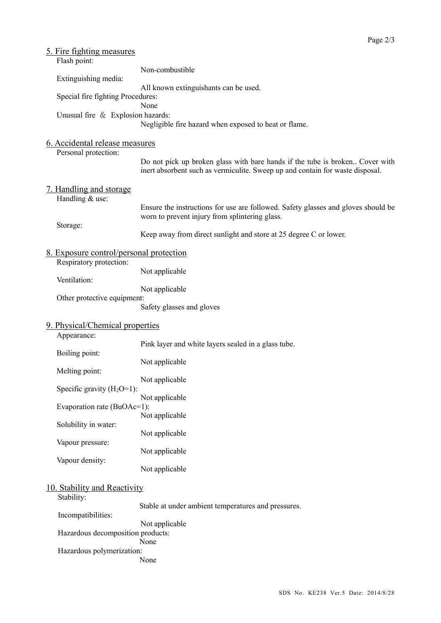|                                                        | <u>5. Fire fighting measures</u><br>Flash point: |                                                                                                                                                               |
|--------------------------------------------------------|--------------------------------------------------|---------------------------------------------------------------------------------------------------------------------------------------------------------------|
|                                                        |                                                  | Non-combustible                                                                                                                                               |
|                                                        | Extinguishing media:                             | All known extinguishants can be used.                                                                                                                         |
|                                                        | Special fire fighting Procedures:                |                                                                                                                                                               |
|                                                        | Unusual fire & Explosion hazards:                | None<br>Negligible fire hazard when exposed to heat or flame.                                                                                                 |
| 6. Accidental release measures<br>Personal protection: |                                                  |                                                                                                                                                               |
|                                                        |                                                  | Do not pick up broken glass with bare hands if the tube is broken Cover with<br>inert absorbent such as vermiculite. Sweep up and contain for waste disposal. |
|                                                        | <u>7. Handling and storage</u>                   |                                                                                                                                                               |
|                                                        | Handling & use:                                  | Ensure the instructions for use are followed. Safety glasses and gloves should be<br>worn to prevent injury from splintering glass.                           |
|                                                        | Storage:                                         | Keep away from direct sunlight and store at 25 degree C or lower.                                                                                             |
|                                                        | <u>8. Exposure control/personal protection</u>   |                                                                                                                                                               |
|                                                        | Respiratory protection:                          | Not applicable                                                                                                                                                |
|                                                        | Ventilation:                                     | Not applicable                                                                                                                                                |
|                                                        | Other protective equipment:                      | Safety glasses and gloves                                                                                                                                     |
|                                                        | 9. Physical/Chemical properties                  |                                                                                                                                                               |
|                                                        | Appearance:                                      | Pink layer and white layers sealed in a glass tube.                                                                                                           |
|                                                        | Boiling point:                                   | Not applicable                                                                                                                                                |
|                                                        | Melting point:                                   | Not applicable                                                                                                                                                |
|                                                        | Specific gravity $(H_2O=1)$ :                    | Not applicable                                                                                                                                                |
|                                                        | Evaporation rate (BuOAc=1):                      | Not applicable                                                                                                                                                |
|                                                        | Solubility in water:                             |                                                                                                                                                               |
|                                                        | Vapour pressure:                                 | Not applicable                                                                                                                                                |
|                                                        | Vapour density:                                  | Not applicable                                                                                                                                                |
|                                                        |                                                  | Not applicable                                                                                                                                                |
|                                                        | 10. Stability and Reactivity                     |                                                                                                                                                               |
| Stability:                                             |                                                  | Stable at under ambient temperatures and pressures.                                                                                                           |
|                                                        | Incompatibilities:                               | Not applicable                                                                                                                                                |
|                                                        | Hazardous decomposition products:                | None                                                                                                                                                          |
|                                                        | Hazardous polymerization:                        | None                                                                                                                                                          |
|                                                        |                                                  |                                                                                                                                                               |